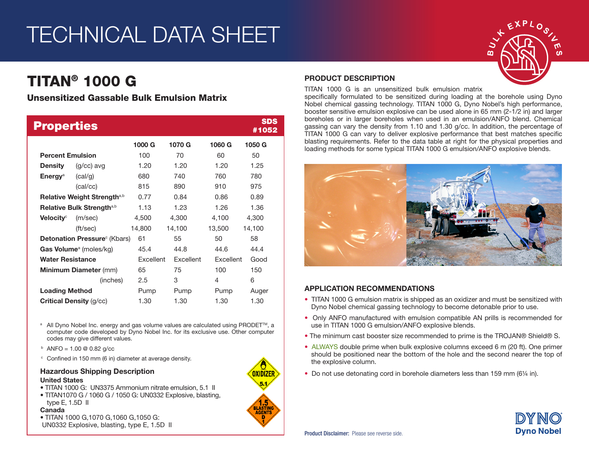# TECHNICAL DATA SHEET

# TITAN® 1000 G

## Unsensitized Gassable Bulk Emulsion Matrix

| <b>Properties</b>                         |                  |           |                  |                  | <b>SDS</b><br>#1052 |
|-------------------------------------------|------------------|-----------|------------------|------------------|---------------------|
|                                           |                  | 1000 G    | 1070 G           | 1060 G           | 1050 G              |
| <b>Percent Emulsion</b>                   |                  | 100       | 70               | 60               | 50                  |
| Density                                   | $(g/cc)$ avg     | 1.20      | 1.20             | 1.20             | 1.25                |
| <b>Energy</b> <sup>a</sup>                | (cal/g)          | 680       | 740              | 760              | 780                 |
|                                           | (cal/cc)         | 815       | 890              | 910              | 975                 |
| Relative Weight Strength <sup>a,b</sup>   |                  | 0.77      | 0.84             | 0.86             | 0.89                |
| Relative Bulk Strength <sup>a,b</sup>     |                  | 1.13      | 1.23             | 1.26             | 1.36                |
| Velocity $^\circ$                         | (m/sec)          | 4,500     | 4,300            | 4,100            | 4,300               |
|                                           | $({\rm ft/sec})$ | 14,800    | 14,100           | 13,500           | 14,100              |
| <b>Detonation Pressure</b> (Kbars)        |                  | 61        | 55               | 50               | 58                  |
| <b>Gas Volume</b> <sup>a</sup> (moles/kg) |                  | 45.4      | 44.8             | 44.6             | 44.4                |
| <b>Water Resistance</b>                   |                  | Excellent | <b>Excellent</b> | <b>Fxcellent</b> | Good                |
| <b>Minimum Diameter (mm)</b>              |                  | 65        | 75               | 100              | 150                 |
|                                           | (inches)         | 2.5       | 3                | 4                | 6                   |
| <b>Loading Method</b>                     |                  | Pump      | Pump             | Pump             | Auger               |
| <b>Critical Density (g/cc)</b>            |                  | 1.30      | 1.30             | 1.30             | 1.30                |

<sup>a</sup> All Dyno Nobel Inc. energy and gas volume values are calculated using PRODET<sup>™</sup>, a computer code developed by Dyno Nobel Inc. for its exclusive use. Other computer codes may give different values.

- $b$  ANFO = 1.00 @ 0.82 g/cc
- <sup>c</sup> Confined in 150 mm (6 in) diameter at average density.

## Hazardous Shipping Description

#### United States

- TITAN 1000 G: UN3375 Ammonium nitrate emulsion, 5.1 II
- TITAN1070 G / 1060 G / 1050 G: UN0332 Explosive, blasting, type E, 1.5D II

#### Canada

• TITAN 1000 G,1070 G,1060 G,1050 G: UN0332 Explosive, blasting, type E, 1.5D II



#### PRODUCT DESCRIPTION

TITAN 1000 G is an unsensitized bulk emulsion matrix

specifically formulated to be sensitized during loading at the borehole using Dyno Nobel chemical gassing technology. TITAN 1000 G, Dyno Nobel's high performance, booster sensitive emulsion explosive can be used alone in 65 mm (2-1/2 in) and larger boreholes or in larger boreholes when used in an emulsion/ANFO blend. Chemical gassing can vary the density from 1.10 and 1.30 g/cc. In addition, the percentage of TITAN 1000 G can vary to deliver explosive performance that best matches specific blasting requirements. Refer to the data table at right for the physical properties and loading methods for some typical TITAN 1000 G emulsion/ANFO explosive blends.



#### APPLICATION RECOMMENDATIONS

- TITAN 1000 G emulsion matrix is shipped as an oxidizer and must be sensitized with Dyno Nobel chemical gassing technology to become detonable prior to use.
- Only ANFO manufactured with emulsion compatible AN prills is recommended for use in TITAN 1000 G emulsion/ANFO explosive blends.
- The minimum cast booster size recommended to prime is the TROJAN® Shield® S.
- ALWAYS double prime when bulk explosive columns exceed 6 m (20 ft). One primer should be positioned near the bottom of the hole and the second nearer the top of the explosive column.
- Do not use detonating cord in borehole diameters less than 159 mm (6¼ in).